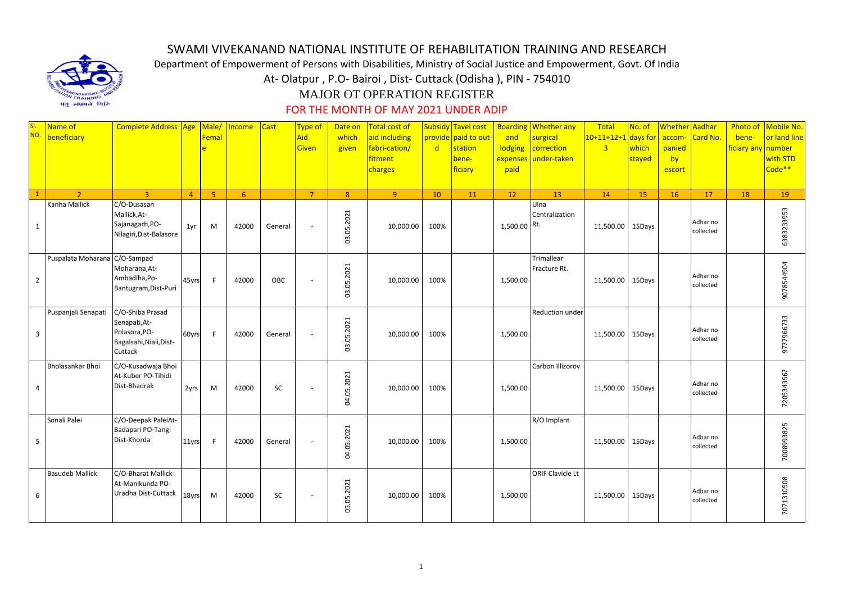

## SWAMI VIVEKANAND NATIONAL INSTITUTE OF REHABILITATION TRAINING AND RESEARCH

Department of Empowerment of Persons with Disabilities, Ministry of Social Justice and Empowerment, Govt. Of India

At- Olatpur , P.O- Bairoi , Dist- Cuttack (Odisha ), PIN - 754010

## MAJOR OT OPERATION REGISTER

## FOR THE MONTH OF MAY 2021 UNDER ADIP

| SI.<br>NO.     | Name of<br>beneficiary        | Complete Address Age                                                                     |                | Male/<br>Femal<br>è | Income | <b>Cast</b> | <b>Type of</b><br>Aid<br>Given | Date on<br>which<br>given | <b>Total cost of</b><br>aid including<br>fabri-cation/<br>fitment<br>charges | $\mathsf{d}$ | Subsidy Tavel cost<br>provide paid to out-<br>station<br>bene-<br>ficiary | <b>Boarding</b><br>and<br>lodging<br>expenses<br>paid | <b>Whether any</b><br>surgical<br>correction<br>under-taken | Total<br>$10+11+12+1$ days for<br>$\overline{3}$ | No. of<br>which<br>stayed | Whether Aadhar<br>accom-<br>panied<br>by<br>escort | Card No.              | bene-<br>ficiary any number | Photo of Mobile No.<br>or land line<br>with STD<br>Code** |
|----------------|-------------------------------|------------------------------------------------------------------------------------------|----------------|---------------------|--------|-------------|--------------------------------|---------------------------|------------------------------------------------------------------------------|--------------|---------------------------------------------------------------------------|-------------------------------------------------------|-------------------------------------------------------------|--------------------------------------------------|---------------------------|----------------------------------------------------|-----------------------|-----------------------------|-----------------------------------------------------------|
|                | $\overline{2}$                | $\overline{3}$                                                                           | $\overline{4}$ | 5 <sup>1</sup>      | 6      |             | $\overline{7}$                 | 8                         | 9 <sup>°</sup>                                                               | 10           | 11                                                                        | 12                                                    | 13                                                          | 14                                               | 15                        | 16                                                 | 17                    | 18                          | 19                                                        |
| $\mathbf{1}$   | Kanha Mallick                 | C/O-Dusasan<br>Mallick, At-<br>Sajanagarh, PO-<br>Nilagiri, Dist-Balasore                | 1yr            | M                   | 42000  | General     | $\sim$                         | 03.05.2021                | 10,000.00                                                                    | 100%         |                                                                           | 1,500.00 Rt.                                          | Ulna<br>Centralization                                      | 11,500.00                                        | 15Days                    |                                                    | Adhar no<br>collected |                             | 6383233953                                                |
| $\overline{2}$ | Puspalata Moharana C/O-Sampad | Moharana, At-<br>Ambadiha,Po-<br>Bantugram, Dist-Puri                                    | 45yrs          | F                   | 42000  | OBC         | $\overline{\phantom{a}}$       | 03.05.2021                | 10,000.00                                                                    | 100%         |                                                                           | 1,500.00                                              | Trimallear<br>Fracture Rt.                                  | 11,500.00 15Days                                 |                           |                                                    | Adhar no<br>collected |                             | 9078544904                                                |
| $\overline{3}$ | Puspanjali Senapati           | C/O-Shiba Prasad<br>Senapati, At-<br>Polasora, PO-<br>Bagalsahi, Niali, Dist-<br>Cuttack | 60yrs          | F                   | 42000  | General     | $\sim$                         | 03.05.2021                | 10,000.00                                                                    | 100%         |                                                                           | 1,500.00                                              | Reduction under                                             | 11,500.00                                        | 15Days                    |                                                    | Adhar no<br>collected |                             | 9777966733                                                |
| 4              | Bholasankar Bhoi              | C/O-Kusadwaja Bhoi<br>At-Kuber PO-Tihidi<br>Dist-Bhadrak                                 | 2yrs           | M                   | 42000  | SC          | $\sim$                         | 04.05.2021                | 10,000.00                                                                    | 100%         |                                                                           | 1,500.00                                              | Carbon Illizorov                                            | 11,500.00                                        | 15Days                    |                                                    | Adhar no<br>collected |                             | 7205343567                                                |
| 5              | Sonali Palei                  | C/O-Deepak PaleiAt-<br>Badapari PO-Tangi<br>Dist-Khorda                                  | 11yrs          | F                   | 42000  | General     | $\sim$                         | 04.05.2021                | 10,000.00                                                                    | 100%         |                                                                           | 1,500.00                                              | R/O Implant                                                 | 11,500.00                                        | 15Days                    |                                                    | Adhar no<br>collected |                             | 7008993825                                                |
| 6              | <b>Basudeb Mallick</b>        | C/O-Bharat Mallick<br>At-Manikunda PO-<br>Uradha Dist-Cuttack                            | 18yrs          | M                   | 42000  | SC          | $\sim$                         | 05.05.2021                | 10,000.00                                                                    | 100%         |                                                                           | 1,500.00                                              | ORIF Clavicle Lt                                            | 11,500.00 15Days                                 |                           |                                                    | Adhar no<br>collected |                             | 7071310508                                                |